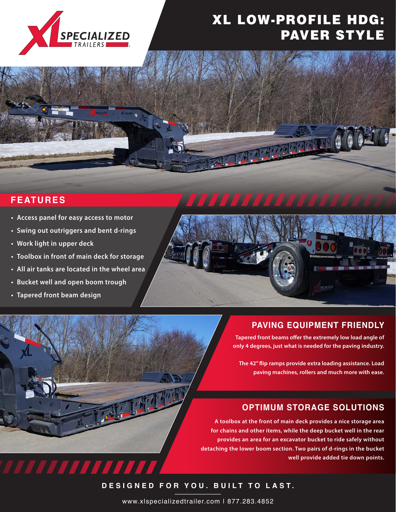

# XL LOW-PROFILE HDG: PAVER STYLE

<u> Tagapanda</u>

## **FEATURES**

- **• Access panel for easy access to motor**
- **• Swing out outriggers and bent d-rings**
- **• Work light in upper deck**
- **• Toolbox in front of main deck for storage**
- **• All air tanks are located in the wheel area**

777777777

- **• Bucket well and open boom trough**
- **• Tapered front beam design**



## **PAVING EQUIPMENT FRIENDLY**

**Tapered front beams offer the extremely low load angle of an 8-foot 8-inch platform ramp and a only 4 degrees, just what is needed for the paving industry.** 

**the 42" flip ramps provide extra loading assistance. Load <br>
<br>
The 42" flip ramps provide extra loading assistance. Load paving machines, rollers and much more with ease.**

### **OPTIMUM STORAGE SOLUTIONS**

**A toolbox at the front of main deck provides a nice storage area for chains and other items, while the deep bucket well in the rear provides an area for an excavator bucket to ride safely without detaching the lower boom section. Two pairs of d-rings in the bucket well provide added tie down points.** 

**DESIGNED FOR YOU. BUILT TO LAST.**

www.xlspecializedtrailer.com | 877.283.4852